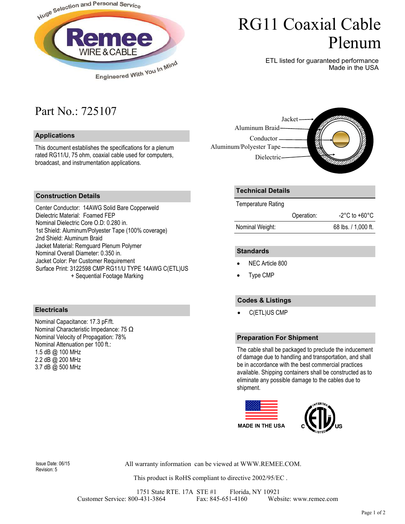

# RG11 Coaxial Cable Plenum

ETL listed for guaranteed performance Made in the USA

### Part No.: 725107

#### **Applications**

This document establishes the specifications for a plenum rated RG11/U, 75 ohm, coaxial cable used for computers, broadcast, and instrumentation applications.



#### **Construction Details**

Center Conductor: 14AWG Solid Bare Copperweld Dielectric Material: Foamed FEP Nominal Dielectric Core O.D: 0.280 in. 1st Shield: Aluminum/Polyester Tape (100% coverage) 2nd Shield: Aluminum Braid Jacket Material: Remguard Plenum Polymer Nominal Overall Diameter: 0.350 in. Jacket Color: Per Customer Requirement Surface Print: 3122598 CMP RG11/U TYPE 14AWG C(ETL)US + Sequential Footage Marking

#### **Electricals**

Nominal Capacitance: 17.3 pF/ft. Nominal Characteristic Impedance: 75 Ω Nominal Velocity of Propagation: 78% Nominal Attenuation per 100 ft.: 1.5 dB @ 100 MHz 2.2 dB @ 200 MHz 3.7 dB @ 500 MHz

#### **Technical Details**

Temperature Rating

|                 | Operation: | $-2^{\circ}$ C to $+60^{\circ}$ C |
|-----------------|------------|-----------------------------------|
| Nominal Weight: |            | 68 lbs. / 1,000 ft.               |

#### **Standards**

- NEC Article 800
- Type CMP

#### **Codes & Listings**

• C(ETL)US CMP

#### **Preparation For Shipment**

The cable shall be packaged to preclude the inducement of damage due to handling and transportation, and shall be in accordance with the best commercial practices available. Shipping containers shall be constructed as to eliminate any possible damage to the cables due to shipment.



Revision: 5

All warranty information can be viewed at WWW.REMEE.COM. Issue Date: 06/15

This product is RoHS compliant to directive 2002/95/EC .

1751 State RTE. 17A STE #1 Florida, NY 10921 Customer Service: 800-431-3864 Fax: 845-651-4160 Website: www.remee.com